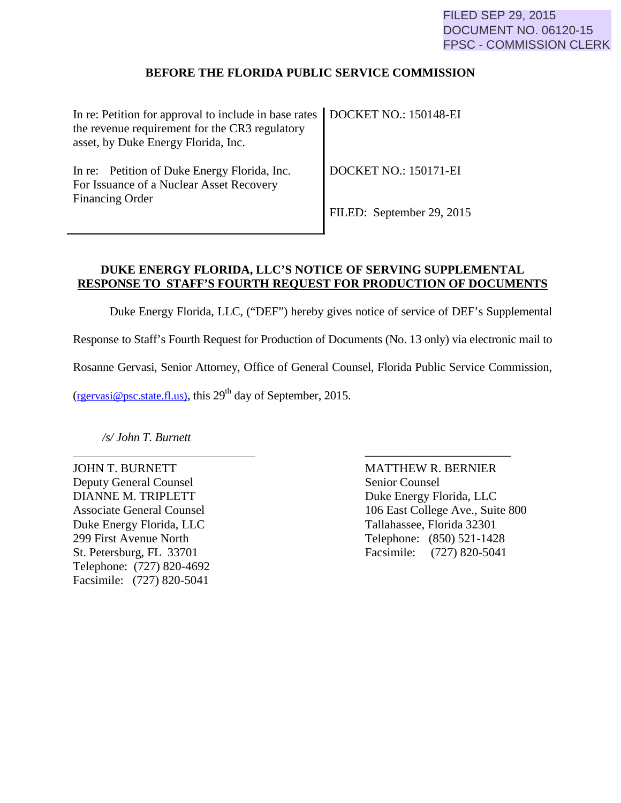## **BEFORE THE FLORIDA PUBLIC SERVICE COMMISSION**

| In re: Petition for approval to include in base rates   DOCKET NO.: 150148-EI<br>the revenue requirement for the CR3 regulatory<br>asset, by Duke Energy Florida, Inc. |                           |
|------------------------------------------------------------------------------------------------------------------------------------------------------------------------|---------------------------|
| In re: Petition of Duke Energy Florida, Inc.<br>For Issuance of a Nuclear Asset Recovery<br><b>Financing Order</b>                                                     | DOCKET NO.: 150171-EI     |
|                                                                                                                                                                        | FILED: September 29, 2015 |

## **DUKE ENERGY FLORIDA, LLC'S NOTICE OF SERVING SUPPLEMENTAL RESPONSE TO STAFF'S FOURTH REQUEST FOR PRODUCTION OF DOCUMENTS**

Duke Energy Florida, LLC, ("DEF") hereby gives notice of service of DEF's Supplemental

Response to Staff's Fourth Request for Production of Documents (No. 13 only) via electronic mail to

Rosanne Gervasi, Senior Attorney, Office of General Counsel, Florida Public Service Commission,

\_\_\_\_\_\_\_\_\_\_\_\_\_\_\_\_\_\_\_\_\_\_\_\_

 $(rgervasi@psc.state.fl.us)$ , this 29<sup>th</sup> day of September, 2015.

*/s/ John T. Burnett*

Deputy General Counsel Senior Counsel DIANNE M. TRIPLETT Duke Energy Florida, LLC Duke Energy Florida, LLC Tallahassee, Florida 32301 Telephone: (727) 820-4692 Facsimile: (727) 820-5041

JOHN T. BURNETT MATTHEW R. BERNIER Associate General Counsel 106 East College Ave., Suite 800 299 First Avenue North Telephone: (850) 521-1428 St. Petersburg, FL 33701 Facsimile: (727) 820-5041